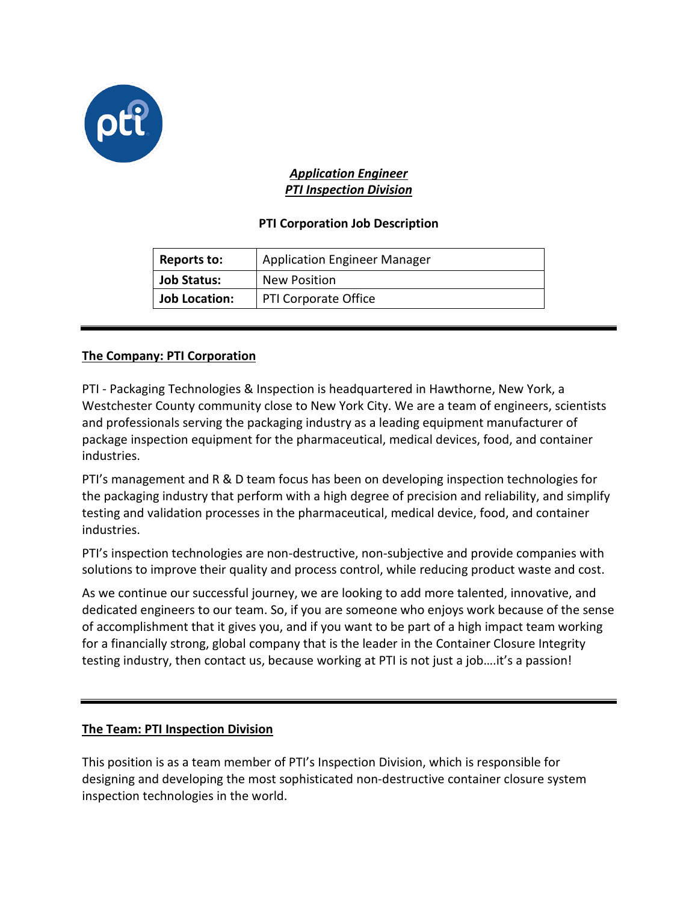

## *Application Engineer PTI Inspection Division*

# **PTI Corporation Job Description**

| <b>Reports to:</b>   | <b>Application Engineer Manager</b> |
|----------------------|-------------------------------------|
| <b>Job Status:</b>   | New Position                        |
| <b>Job Location:</b> | <b>PTI Corporate Office</b>         |

## **The Company: PTI Corporation**

PTI - Packaging Technologies & Inspection is headquartered in Hawthorne, New York, a Westchester County community close to New York City. We are a team of engineers, scientists and professionals serving the packaging industry as a leading equipment manufacturer of package inspection equipment for the pharmaceutical, medical devices, food, and container industries.

PTI's management and R & D team focus has been on developing inspection technologies for the packaging industry that perform with a high degree of precision and reliability, and simplify testing and validation processes in the pharmaceutical, medical device, food, and container industries.

PTI's inspection technologies are non-destructive, non-subjective and provide companies with solutions to improve their quality and process control, while reducing product waste and cost.

As we continue our successful journey, we are looking to add more talented, innovative, and dedicated engineers to our team. So, if you are someone who enjoys work because of the sense of accomplishment that it gives you, and if you want to be part of a high impact team working for a financially strong, global company that is the leader in the Container Closure Integrity testing industry, then contact us, because working at PTI is not just a job….it's a passion!

## **The Team: PTI Inspection Division**

This position is as a team member of PTI's Inspection Division, which is responsible for designing and developing the most sophisticated non-destructive container closure system inspection technologies in the world.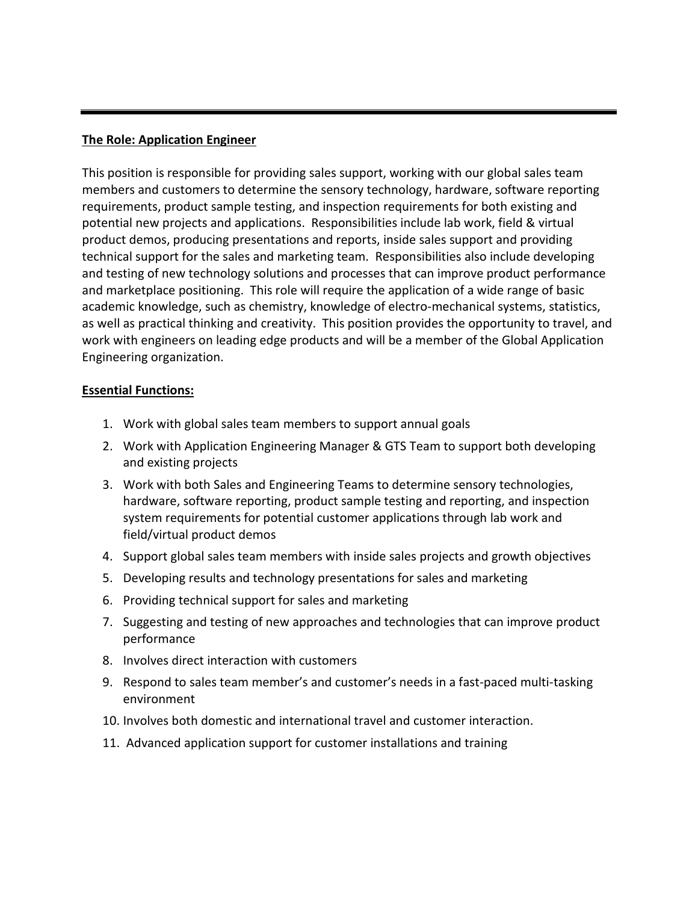### **The Role: Application Engineer**

This position is responsible for providing sales support, working with our global sales team members and customers to determine the sensory technology, hardware, software reporting requirements, product sample testing, and inspection requirements for both existing and potential new projects and applications. Responsibilities include lab work, field & virtual product demos, producing presentations and reports, inside sales support and providing technical support for the sales and marketing team. Responsibilities also include developing and testing of new technology solutions and processes that can improve product performance and marketplace positioning. This role will require the application of a wide range of basic academic knowledge, such as chemistry, knowledge of electro-mechanical systems, statistics, as well as practical thinking and creativity. This position provides the opportunity to [travel,](http://www.ehow.com/travel/) and work with engineers on leading edge products and will be a member of the Global Application Engineering organization.

#### **Essential Functions:**

- 1. Work with global sales team members to support annual goals
- 2. Work with Application Engineering Manager & GTS Team to support both developing and existing projects
- 3. Work with both Sales and Engineering Teams to determine sensory technologies, hardware, software reporting, product sample testing and reporting, and inspection system requirements for potential customer applications through lab work and field/virtual product demos
- 4. Support global sales team members with inside sales projects and growth objectives
- 5. Developing results and technology presentations for sales and marketing
- 6. Providing technical support for sales and marketing
- 7. Suggesting and testing of new approaches and technologies that can improve product performance
- 8. Involves direct interaction with customers
- 9. Respond to sales team member's and customer's needs in a fast-paced multi-tasking environment
- 10. Involves both domestic and international travel and customer interaction.
- 11. Advanced application support for customer installations and training